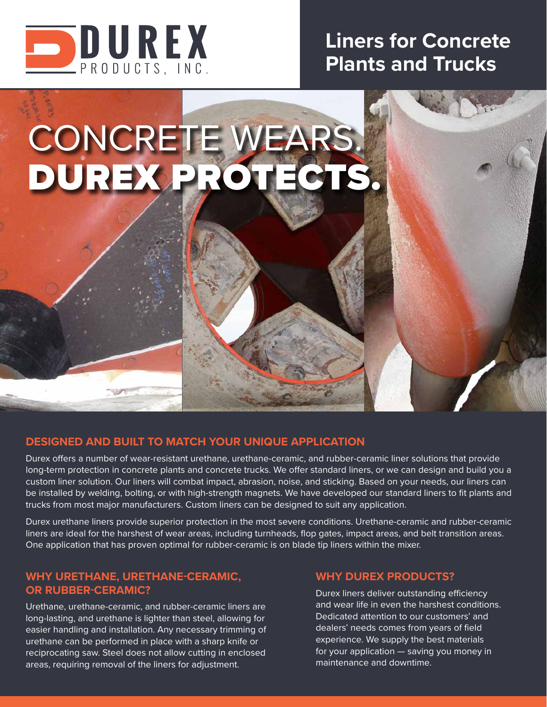

# **Liners for Concrete Plants and Trucks**

# CONCRETE WEARS. DUREX PROTECTS.

## **DESIGNED AND BUILT TO MATCH YOUR UNIQUE APPLICATION**

Durex offers a number of wear-resistant urethane, urethane-ceramic, and rubber-ceramic liner solutions that provide long-term protection in concrete plants and concrete trucks. We offer standard liners, or we can design and build you a custom liner solution. Our liners will combat impact, abrasion, noise, and sticking. Based on your needs, our liners can be installed by welding, bolting, or with high-strength magnets. We have developed our standard liners to fit plants and trucks from most major manufacturers. Custom liners can be designed to suit any application.

Durex urethane liners provide superior protection in the most severe conditions. Urethane-ceramic and rubber-ceramic liners are ideal for the harshest of wear areas, including turnheads, flop gates, impact areas, and belt transition areas. One application that has proven optimal for rubber-ceramic is on blade tip liners within the mixer.

# **WHY URETHANE, URETHANE-CERAMIC, OR RUBBER-CERAMIC?**

Urethane, urethane-ceramic, and rubber-ceramic liners are long-lasting, and urethane is lighter than steel, allowing for easier handling and installation. Any necessary trimming of urethane can be performed in place with a sharp knife or reciprocating saw. Steel does not allow cutting in enclosed areas, requiring removal of the liners for adjustment.

### **WHY DUREX PRODUCTS?**

Durex liners deliver outstanding efficiency and wear life in even the harshest conditions. Dedicated attention to our customers' and dealers' needs comes from years of field experience. We supply the best materials for your application — saving you money in maintenance and downtime.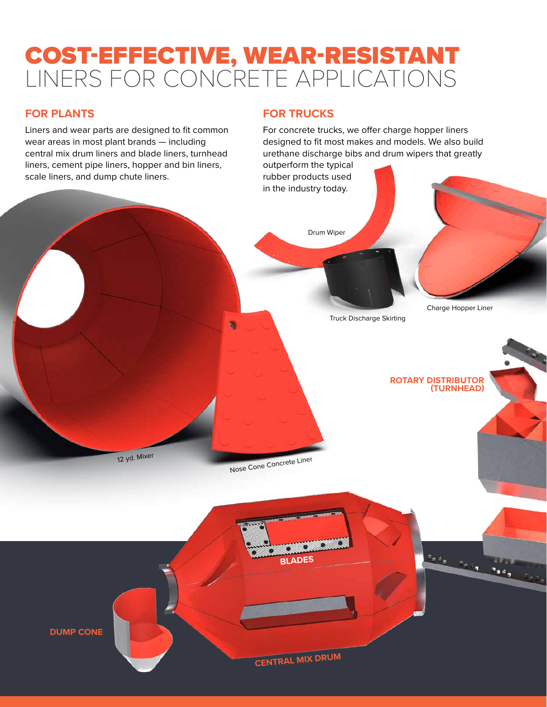# COST-EFFECTIVE, WEAR-RESISTANT LINERS FOR CONCRETE APPLICATIONS

a

# **FOR PLANTS**

Liners and wear parts are designed to fit common wear areas in most plant brands — including central mix drum liners and blade liners, turnhead liners, cement pipe liners, hopper and bin liners, scale liners, and dump chute liners.

# **FOR TRUCKS**

For concrete trucks, we offer charge hopper liners designed to fit most makes and models. We also build urethane discharge bibs and drum wipers that greatly

outperform the typical rubber products used in the industry today.

Drum Wiper

Charge Hopper Liner

Truck Discharge Skirting

**ROTARY DISTRIBUTOR (TURNHEAD)**

12 yd. Mixer

Nose Cone Concrete Liner

**DUMP CONE**

**CENTRAL MIX DRUM**

**BLADES**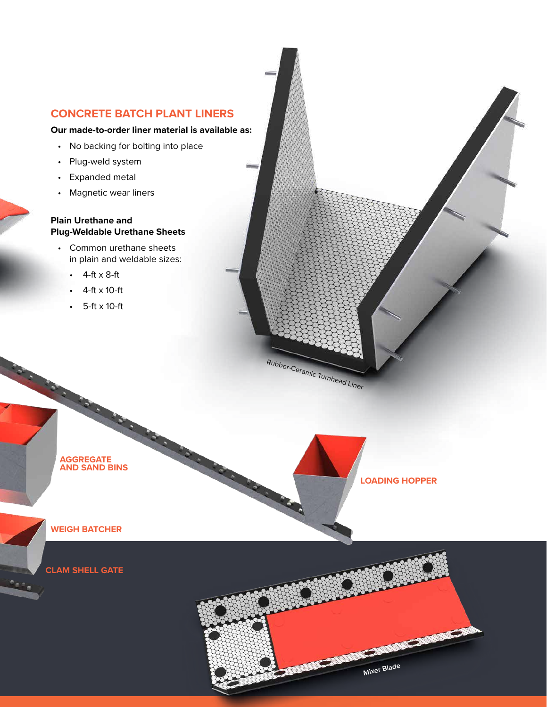#### **CONCRETE BATCH PLANT LINERS**

#### **Our made-to-order liner material is available as:**

- No backing for bolting into place
- Plug-weld system
- Expanded metal
- Magnetic wear liners

#### **Plain Urethane and Plug-Weldable Urethane Sheets**

- Common urethane sheets in plain and weldable sizes:
	- 4-ft x 8-ft
	- $4$ -ft  $\times$  10-ft
	- 5-ft x 10-ft

Rubber-Ceramic Turnhead Liner



**LOADING HOPPER**

**WEIGH BATCHER**

**CLAM SHELL GATE**

See<sub>m</sub>